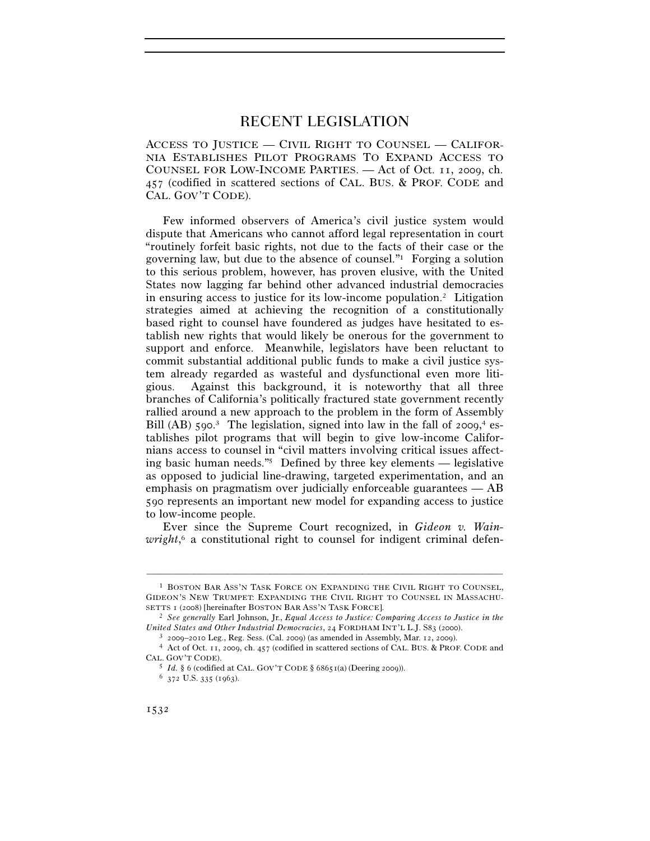# RECENT LEGISLATION

ACCESS TO JUSTICE — CIVIL RIGHT TO COUNSEL — CALIFOR-NIA ESTABLISHES PILOT PROGRAMS TO EXPAND ACCESS TO COUNSEL FOR LOW-INCOME PARTIES. — Act of Oct. 11, 2009, ch. 457 (codified in scattered sections of CAL. BUS. & PROF. CODE and CAL. GOV'T CODE).

Few informed observers of America's civil justice system would dispute that Americans who cannot afford legal representation in court "routinely forfeit basic rights, not due to the facts of their case or the governing law, but due to the absence of counsel."1 Forging a solution to this serious problem, however, has proven elusive, with the United States now lagging far behind other advanced industrial democracies in ensuring access to justice for its low-income population.2 Litigation strategies aimed at achieving the recognition of a constitutionally based right to counsel have foundered as judges have hesitated to establish new rights that would likely be onerous for the government to support and enforce. Meanwhile, legislators have been reluctant to commit substantial additional public funds to make a civil justice system already regarded as wasteful and dysfunctional even more litigious. Against this background, it is noteworthy that all three branches of California's politically fractured state government recently rallied around a new approach to the problem in the form of Assembly Bill (AB) 590.<sup>3</sup> The legislation, signed into law in the fall of 2009,<sup>4</sup> establishes pilot programs that will begin to give low-income Californians access to counsel in "civil matters involving critical issues affecting basic human needs."5 Defined by three key elements — legislative as opposed to judicial line-drawing, targeted experimentation, and an emphasis on pragmatism over judicially enforceable guarantees — AB 590 represents an important new model for expanding access to justice to low-income people.

Ever since the Supreme Court recognized, in *Gideon v. Wain*wright,<sup>6</sup> a constitutional right to counsel for indigent criminal defen-

<sup>1</sup> BOSTON BAR ASS'N TASK FORCE ON EXPANDING THE CIVIL RIGHT TO COUNSEL, GIDEON'S NEW TRUMPET: EXPANDING THE CIVIL RIGHT TO COUNSEL IN MASSACHU-SETTS <sup>1</sup> (2008) [hereinafter BOSTON BAR ASS'N TASK FORCE]. 2 *See generally* Earl Johnson, Jr., *Equal Access to Justice: Comparing Access to Justice in the* 

United States and Other Industrial Democracies, 24 FORDHAM INT'L L.J. S83 (2000).<br><sup>3</sup> 2009–2010 Leg., Reg. Sess. (Cal. 2009) (as amended in Assembly, Mar. 12, 2009).<br><sup>4</sup> Act of Oct. 11, 2009, ch. 457 (codified in scattere

CAL. GOV'T CODE).<br>5 *Id.* § 6 (codified at CAL. GOV'T CODE § 68651(a) (Deering 2009)).<br>6 372 U.S. 335 (1963).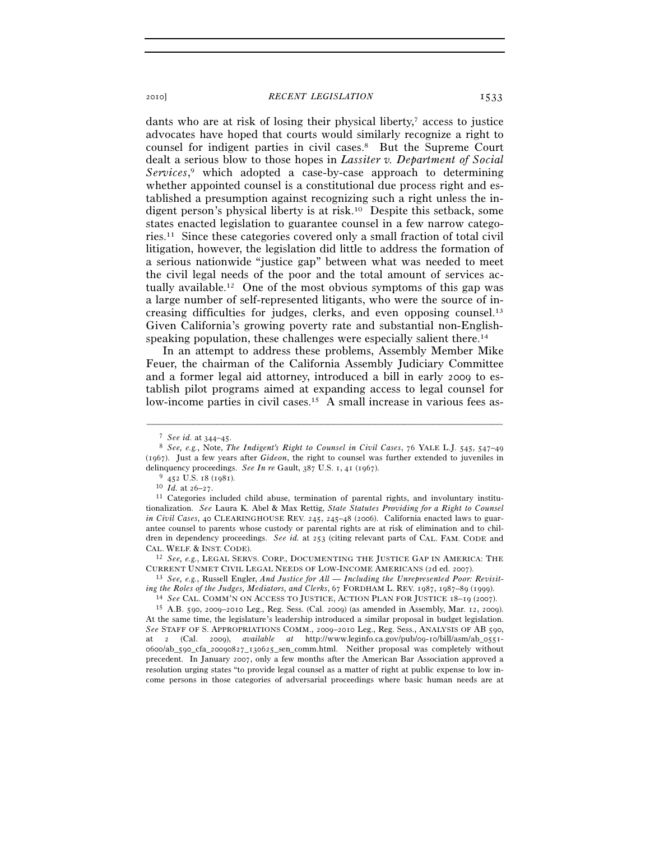# 2010] *RECENT LEGISLATION* 1533

dants who are at risk of losing their physical liberty, $\tau$  access to justice advocates have hoped that courts would similarly recognize a right to counsel for indigent parties in civil cases.8 But the Supreme Court dealt a serious blow to those hopes in *Lassiter v. Department of Social Services*, 9 which adopted a case-by-case approach to determining whether appointed counsel is a constitutional due process right and established a presumption against recognizing such a right unless the indigent person's physical liberty is at risk.10 Despite this setback, some states enacted legislation to guarantee counsel in a few narrow categories.11 Since these categories covered only a small fraction of total civil litigation, however, the legislation did little to address the formation of a serious nationwide "justice gap" between what was needed to meet the civil legal needs of the poor and the total amount of services actually available.12 One of the most obvious symptoms of this gap was a large number of self-represented litigants, who were the source of increasing difficulties for judges, clerks, and even opposing counsel.13 Given California's growing poverty rate and substantial non-Englishspeaking population, these challenges were especially salient there.<sup>14</sup>

In an attempt to address these problems, Assembly Member Mike Feuer, the chairman of the California Assembly Judiciary Committee and a former legal aid attorney, introduced a bill in early 2009 to establish pilot programs aimed at expanding access to legal counsel for low-income parties in civil cases.15 A small increase in various fees as-

–––––––––––––––––––––––––––––––––––––––––––––––––––––––––––––

CURRENT UNMET CIVIL LEGAL NEEDS OF LOW-INCOME AMERICANS (2d ed. 2007). 13 *See, e.g.*, Russell Engler, *And Justice for All — Including the Unrepresented Poor: Revisit-*

<sup>7</sup> *See id.* at 344–45. 8 *See, e.g.*, Note, *The Indigent's Right to Counsel in Civil Cases*, 76 YALE L.J. 545, 547–<sup>49</sup> (1967). Just a few years after *Gideon*, the right to counsel was further extended to juveniles in delinquency proceedings. *See In re* Gault, 387 U.S. 1, 41 (1967).<br><sup>9</sup> 452 U.S. 18 (1981).<br><sup>10</sup> *Id.* at 26–27.<br><sup>11</sup> Categories included child abuse, termination of parental rights, and involuntary institu-

tionalization. *See* Laura K. Abel & Max Rettig, *State Statutes Providing for a Right to Counsel in Civil Cases*, 40 CLEARINGHOUSE REV. 245, 245–48 (2006). California enacted laws to guarantee counsel to parents whose custody or parental rights are at risk of elimination and to children in dependency proceedings. *See id.* at 253 (citing relevant parts of CAL. FAM. CODE and CAL. WELF. & INST. CODE). 12 *See, e.g.*, LEGAL SERVS. CORP., DOCUMENTING THE JUSTICE GAP IN AMERICA: THE

<sup>&</sup>lt;sup>14</sup> See CAL. COMM'N ON ACCESS TO JUSTICE, ACTION PLAN FOR JUSTICE  $18-19$  (2007).<br><sup>15</sup> A.B. 590, 2009–2010 Leg., Reg. Sess. (Cal. 2009) (as amended in Assembly, Mar. 12, 2009). At the same time, the legislature's leadership introduced a similar proposal in budget legislation. *See* STAFF OF S. APPROPRIATIONS COMM., 2009–2010 Leg., Reg. Sess., ANALYSIS OF AB 590, at 2 (Cal. 2009), *available at* http://www.leginfo.ca.gov/pub/09-10/bill/asm/ab\_0551- 0600/ab\_590\_cfa\_20090827\_130625\_sen\_comm.html. Neither proposal was completely without precedent. In January 2007, only a few months after the American Bar Association approved a resolution urging states "to provide legal counsel as a matter of right at public expense to low income persons in those categories of adversarial proceedings where basic human needs are at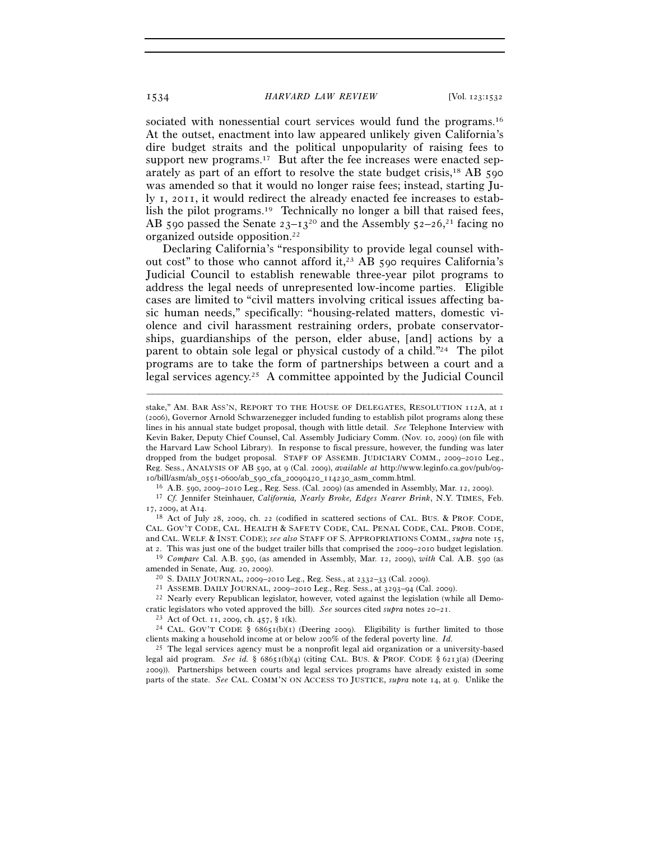1534 *HARVARD LAW REVIEW* [Vol. 123:1532

sociated with nonessential court services would fund the programs.<sup>16</sup> At the outset, enactment into law appeared unlikely given California's dire budget straits and the political unpopularity of raising fees to support new programs.<sup>17</sup> But after the fee increases were enacted separately as part of an effort to resolve the state budget crisis,18 AB 590 was amended so that it would no longer raise fees; instead, starting July 1, 2011, it would redirect the already enacted fee increases to establish the pilot programs.19 Technically no longer a bill that raised fees, AB 590 passed the Senate  $23-13^{20}$  and the Assembly  $52-26$ <sup>21</sup> facing no organized outside opposition.22

Declaring California's "responsibility to provide legal counsel without cost" to those who cannot afford it,<sup>23</sup> AB 590 requires California's Judicial Council to establish renewable three-year pilot programs to address the legal needs of unrepresented low-income parties. Eligible cases are limited to "civil matters involving critical issues affecting basic human needs," specifically: "housing-related matters, domestic violence and civil harassment restraining orders, probate conservatorships, guardianships of the person, elder abuse, [and] actions by a parent to obtain sole legal or physical custody of a child."24 The pilot programs are to take the form of partnerships between a court and a legal services agency.25 A committee appointed by the Judicial Council

–––––––––––––––––––––––––––––––––––––––––––––––––––––––––––––

<sup>18</sup> Act of July 28, 2009, ch. 22 (codified in scattered sections of CAL. BUS. & PROF. CODE, CAL. GOV'T CODE, CAL. HEALTH & SAFETY CODE, CAL. PENAL CODE, CAL. PROB. CODE, and CAL. WELF. & INST. CODE); *see also* STAFF OF S. APPROPRIATIONS COMM., *supra* note 15,

at 2. This was just one of the budget trailer bills that comprised the 2009–2010 budget legislation. 19 *Compare* Cal. A.B. 590, (as amended in Assembly, Mar. 12, 2009), *with* Cal. A.B. 590 (as amended in Senate, Aug. 20, 2009).<br><sup>20</sup> S. DAILY JOURNAL, 2009–2010 Leg., Reg. Sess., at 2332–33 (Cal. 2009).<br><sup>21</sup> ASSEMB. DAILY JOURNAL, 2009–2010 Leg., Reg. Sess., at 3293–94 (Cal. 2009).<br><sup>22</sup> Nearly every Republican leg

cratic legislators who voted approved the bill). *See* sources cited *supra* notes 20–21.<br><sup>23</sup> Act of Oct. 11, 2009, ch. 457, § 1(k).<br><sup>24</sup> CAL. GOV'T CODE § 68651(b)(1) (Deering 2009). Eligibility is further limited to th

clients making a household income at or below 200% of the federal poverty line. *Id.*

25 The legal services agency must be a nonprofit legal aid organization or a university-based legal aid program. *See id.* § 68651(b)(4) (citing CAL. BUS. & PROF. CODE § 6213(a) (Deering 2009)). Partnerships between courts and legal services programs have already existed in some parts of the state. *See* CAL. COMM'N ON ACCESS TO JUSTICE, *supra* note 14, at 9. Unlike the

stake," AM. BAR ASS'N, REPORT TO THE HOUSE OF DELEGATES, RESOLUTION 112A, at 1 (2006), Governor Arnold Schwarzenegger included funding to establish pilot programs along these lines in his annual state budget proposal, though with little detail. *See* Telephone Interview with Kevin Baker, Deputy Chief Counsel, Cal. Assembly Judiciary Comm. (Nov. 10, 2009) (on file with the Harvard Law School Library). In response to fiscal pressure, however, the funding was later dropped from the budget proposal. STAFF OF ASSEMB. JUDICIARY COMM., 2009–2010 Leg., Reg. Sess., ANALYSIS OF AB 590, at 9 (Cal. 2009), *available at* http://www.leginfo.ca.gov/pub/09-

 $\label{eq:10}$ ro/bill/asm/ab\_0551-0600/ab\_590\_cfa\_20090420\_114230\_asm\_comm.html.<br>  $^{16}$ A.B. 590, 2009–2010 Leg., Reg. Sess. (Cal. 2009) (as amended in Assembly, Mar. 12, 2009).<br>  $^{17}$  Cf. Jennifer Steinhauer, California, Ne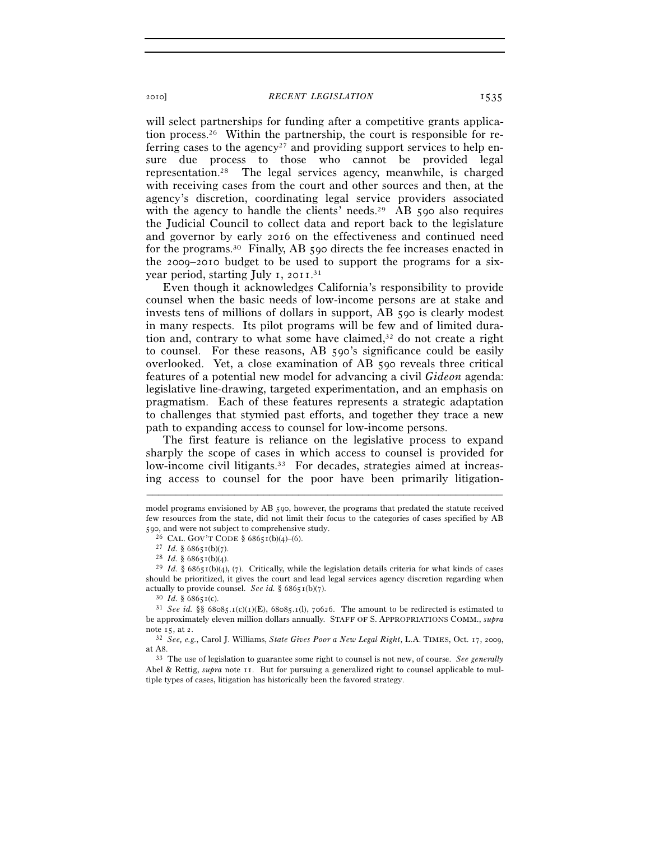will select partnerships for funding after a competitive grants application process.26 Within the partnership, the court is responsible for referring cases to the agency<sup>27</sup> and providing support services to help ensure due process to those who cannot be provided legal representation.28 The legal services agency, meanwhile, is charged with receiving cases from the court and other sources and then, at the agency's discretion, coordinating legal service providers associated with the agency to handle the clients' needs.<sup>29</sup> AB 590 also requires the Judicial Council to collect data and report back to the legislature and governor by early 2016 on the effectiveness and continued need for the programs.30 Finally, AB 590 directs the fee increases enacted in the 2009–2010 budget to be used to support the programs for a sixyear period, starting July 1, 2011.<sup>31</sup>

Even though it acknowledges California's responsibility to provide counsel when the basic needs of low-income persons are at stake and invests tens of millions of dollars in support, AB 590 is clearly modest in many respects. Its pilot programs will be few and of limited duration and, contrary to what some have claimed, $32$  do not create a right to counsel. For these reasons, AB 590's significance could be easily overlooked. Yet, a close examination of AB 590 reveals three critical features of a potential new model for advancing a civil *Gideon* agenda: legislative line-drawing, targeted experimentation, and an emphasis on pragmatism. Each of these features represents a strategic adaptation to challenges that stymied past efforts, and together they trace a new path to expanding access to counsel for low-income persons.

The first feature is reliance on the legislative process to expand sharply the scope of cases in which access to counsel is provided for low-income civil litigants.<sup>33</sup> For decades, strategies aimed at increasing access to counsel for the poor have been primarily litigation-

model programs envisioned by AB 590, however, the programs that predated the statute received few resources from the state, did not limit their focus to the categories of cases specified by AB 590, and were not subject to comprehensive study.<br><sup>26</sup> CAL. GOV'T CODE § 68651(b)(4)–(6).

<sup>&</sup>lt;sup>27</sup> *Id.* § 68651(b)(7).<br><sup>28</sup> *Id.* § 68651(b)(4).<br><sup>29</sup> *Id.* § 68651(b)(4), (7). Critically, while the legislation details criteria for what kinds of cases should be prioritized, it gives the court and lead legal services agency discretion regarding when actually to provide counsel. *See id.* § 68651(b)(7).<br><sup>30</sup> *Id.* § 68651(c).<br><sup>31</sup> *See id.* §§ 68085.1(c)(1)(E), 68085.1(l), 70626. The amount to be redirected is estimated to

be approximately eleven million dollars annually. STAFF OF S. APPROPRIATIONS COMM., *supra* note 15, at 2. 32 *See, e.g.*, Carol J. Williams, *State Gives Poor a New Legal Right*, L.A. TIMES, Oct. 17, 2009,

at A8. 33 The use of legislation to guarantee some right to counsel is not new, of course. *See generally*

Abel & Rettig, *supra* note 11. But for pursuing a generalized right to counsel applicable to multiple types of cases, litigation has historically been the favored strategy.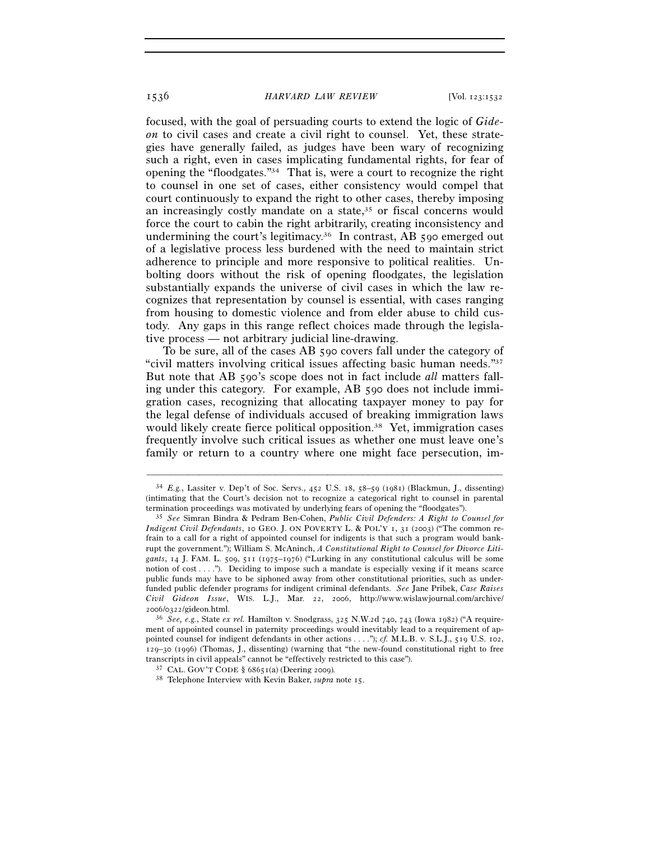# 1536 *HARVARD LAW REVIEW* [Vol. 123:1532

focused, with the goal of persuading courts to extend the logic of *Gideon* to civil cases and create a civil right to counsel. Yet, these strategies have generally failed, as judges have been wary of recognizing such a right, even in cases implicating fundamental rights, for fear of opening the "floodgates."34 That is, were a court to recognize the right to counsel in one set of cases, either consistency would compel that court continuously to expand the right to other cases, thereby imposing an increasingly costly mandate on a state,<sup>35</sup> or fiscal concerns would force the court to cabin the right arbitrarily, creating inconsistency and undermining the court's legitimacy.36 In contrast, AB 590 emerged out of a legislative process less burdened with the need to maintain strict adherence to principle and more responsive to political realities. Unbolting doors without the risk of opening floodgates, the legislation substantially expands the universe of civil cases in which the law recognizes that representation by counsel is essential, with cases ranging from housing to domestic violence and from elder abuse to child custody. Any gaps in this range reflect choices made through the legislative process — not arbitrary judicial line-drawing.

To be sure, all of the cases AB 590 covers fall under the category of "civil matters involving critical issues affecting basic human needs."37 But note that AB 590's scope does not in fact include *all* matters falling under this category. For example, AB 590 does not include immigration cases, recognizing that allocating taxpayer money to pay for the legal defense of individuals accused of breaking immigration laws would likely create fierce political opposition.<sup>38</sup> Yet, immigration cases frequently involve such critical issues as whether one must leave one's family or return to a country where one might face persecution, im-

<sup>34</sup> *E.g.*, Lassiter v. Dep't of Soc. Servs., 452 U.S. 18, 58–59 (1981) (Blackmun, J., dissenting) (intimating that the Court's decision not to recognize a categorical right to counsel in parental

termination proceedings was motivated by underlying fears of opening the "floodgates"). 35 *See* Simran Bindra & Pedram Ben-Cohen, *Public Civil Defenders: A Right to Counsel for Indigent Civil Defendants*, 10 GEO. J. ON POVERTY L. & POL'Y 1, 31 (2003) ("The common refrain to a call for a right of appointed counsel for indigents is that such a program would bankrupt the government."); William S. McAninch, *A Constitutional Right to Counsel for Divorce Litigants*, 14 J. FAM. L. 509, 511 (1975–1976) ("Lurking in any constitutional calculus will be some notion of  $cost \dots$ ."). Deciding to impose such a mandate is especially vexing if it means scarce public funds may have to be siphoned away from other constitutional priorities, such as underfunded public defender programs for indigent criminal defendants. *See* Jane Pribek, *Case Raises Civil Gideon Issue*, WIS. L.J., Mar. 22, 2006, http://www.wislawjournal.com/archive/ <sup>2006</sup>/0322/gideon.html. 36 *See, e.g.*, State *ex rel.* Hamilton v. Snodgrass, 325 N.W.2d 740, 743 (Iowa 1982) ("A require-

ment of appointed counsel in paternity proceedings would inevitably lead to a requirement of appointed counsel for indigent defendants in other actions . . . ."); *cf.* M.L.B. v. S.L.J., 519 U.S. 102, 129–30 (1996) (Thomas, J., dissenting) (warning that "the new-found constitutional right to free transcripts in civil appeals" cannot be "effectively restricted to this case"). 37 CAL. GOV'T CODE § 68651(a) (Deering 2009)*.*

<sup>38</sup> Telephone Interview with Kevin Baker, *supra* note 15.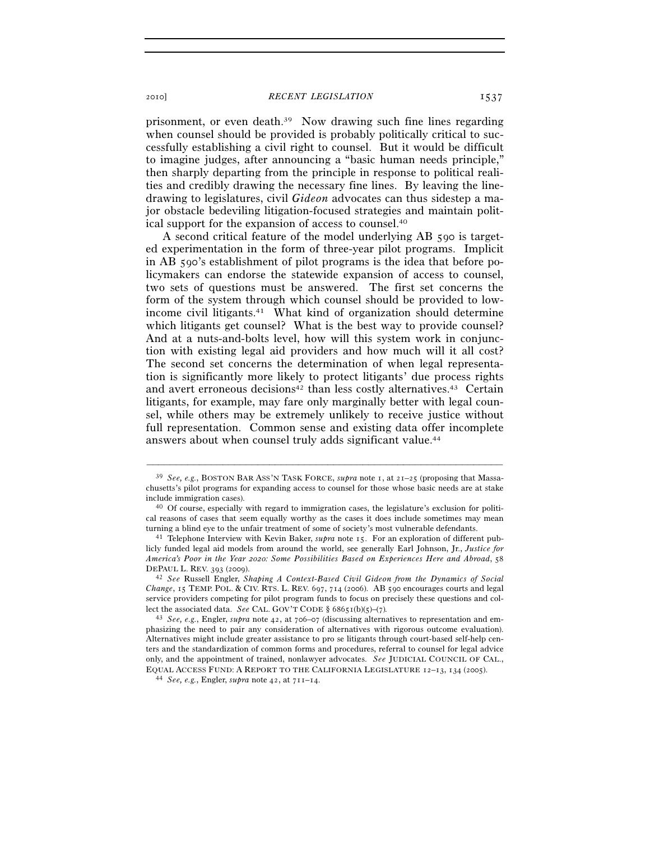2010] *RECENT LEGISLATION* 1537

prisonment, or even death.39 Now drawing such fine lines regarding when counsel should be provided is probably politically critical to successfully establishing a civil right to counsel. But it would be difficult to imagine judges, after announcing a "basic human needs principle," then sharply departing from the principle in response to political realities and credibly drawing the necessary fine lines. By leaving the linedrawing to legislatures, civil *Gideon* advocates can thus sidestep a major obstacle bedeviling litigation-focused strategies and maintain political support for the expansion of access to counsel.40

A second critical feature of the model underlying AB 590 is targeted experimentation in the form of three-year pilot programs. Implicit in AB 590's establishment of pilot programs is the idea that before policymakers can endorse the statewide expansion of access to counsel, two sets of questions must be answered. The first set concerns the form of the system through which counsel should be provided to lowincome civil litigants.41 What kind of organization should determine which litigants get counsel? What is the best way to provide counsel? And at a nuts-and-bolts level, how will this system work in conjunction with existing legal aid providers and how much will it all cost? The second set concerns the determination of when legal representation is significantly more likely to protect litigants' due process rights and avert erroneous decisions<sup>42</sup> than less costly alternatives.<sup>43</sup> Certain litigants, for example, may fare only marginally better with legal counsel, while others may be extremely unlikely to receive justice without full representation. Common sense and existing data offer incomplete answers about when counsel truly adds significant value.44

<sup>39</sup> *See, e.g.*, BOSTON BAR ASS'N TASK FORCE, *supra* note 1, at 21–25 (proposing that Massachusetts's pilot programs for expanding access to counsel for those whose basic needs are at stake include immigration cases).<br><sup>40</sup> Of course, especially with regard to immigration cases, the legislature's exclusion for politi-

cal reasons of cases that seem equally worthy as the cases it does include sometimes may mean turning a blind eye to the unfair treatment of some of society's most vulnerable defendants. 41 Telephone Interview with Kevin Baker, *supra* note 15. For an exploration of different pub-

licly funded legal aid models from around the world, see generally Earl Johnson, Jr., *Justice for America's Poor in the Year 2020: Some Possibilities Based on Experiences Here and Abroad*, 58 DEPAUL L. REV. 393 (2009). 42 *See* Russell Engler, *Shaping A Context-Based Civil Gideon from the Dynamics of Social* 

*Change*, 15 TEMP. POL. & CIV. RTS. L. REV. 697, 714 (2006). AB 590 encourages courts and legal service providers competing for pilot program funds to focus on precisely these questions and collect the associated data. *See* CAL. GOV'T CODE §  $6865I(b)(5)-(7)$ *.* 

<sup>43</sup> *See, e.g.*, Engler, *supra* note 42, at 706–07 (discussing alternatives to representation and emphasizing the need to pair any consideration of alternatives with rigorous outcome evaluation). Alternatives might include greater assistance to pro se litigants through court-based self-help centers and the standardization of common forms and procedures, referral to counsel for legal advice only, and the appointment of trained, nonlawyer advocates. *See* JUDICIAL COUNCIL OF CAL., EQUAL ACCESS FUND: <sup>A</sup> REPORT TO THE CALIFORNIA LEGISLATURE <sup>12</sup>–13, 134 (2005). 44 *See, e.g.*, Engler, *supra* note 42, at 711–14.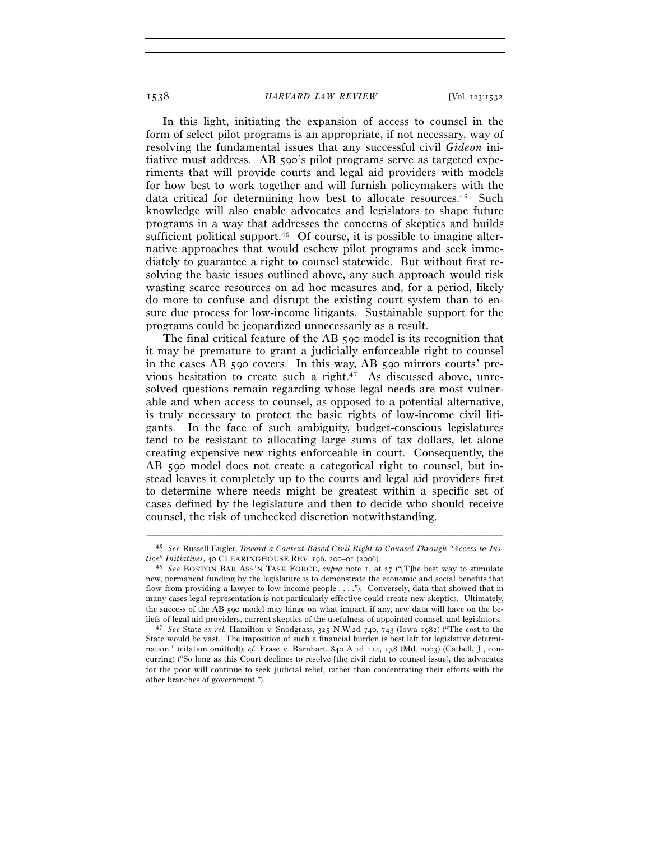# 1538 *HARVARD LAW REVIEW* [Vol. 123:1532

In this light, initiating the expansion of access to counsel in the form of select pilot programs is an appropriate, if not necessary, way of resolving the fundamental issues that any successful civil *Gideon* initiative must address. AB 590's pilot programs serve as targeted experiments that will provide courts and legal aid providers with models for how best to work together and will furnish policymakers with the data critical for determining how best to allocate resources.<sup>45</sup> Such knowledge will also enable advocates and legislators to shape future programs in a way that addresses the concerns of skeptics and builds sufficient political support.<sup>46</sup> Of course, it is possible to imagine alternative approaches that would eschew pilot programs and seek immediately to guarantee a right to counsel statewide. But without first resolving the basic issues outlined above, any such approach would risk wasting scarce resources on ad hoc measures and, for a period, likely do more to confuse and disrupt the existing court system than to ensure due process for low-income litigants. Sustainable support for the programs could be jeopardized unnecessarily as a result.

The final critical feature of the AB 590 model is its recognition that it may be premature to grant a judicially enforceable right to counsel in the cases AB 590 covers. In this way, AB 590 mirrors courts' previous hesitation to create such a right.<sup>47</sup> As discussed above, unresolved questions remain regarding whose legal needs are most vulnerable and when access to counsel, as opposed to a potential alternative, is truly necessary to protect the basic rights of low-income civil litigants. In the face of such ambiguity, budget-conscious legislatures tend to be resistant to allocating large sums of tax dollars, let alone creating expensive new rights enforceable in court. Consequently, the AB 590 model does not create a categorical right to counsel, but instead leaves it completely up to the courts and legal aid providers first to determine where needs might be greatest within a specific set of cases defined by the legislature and then to decide who should receive counsel, the risk of unchecked discretion notwithstanding.

<sup>–––––––––––––––––––––––––––––––––––––––––––––––––––––––––––––</sup> 45 *See* Russell Engler, *Toward a Context-Based Civil Right to Counsel Through "Access to Justice" Initiatives*, 40 CLEARINGHOUSE REV. 196, 200–01 (2006).<br><sup>46</sup> *See* BOSTON BAR ASS'N TASK FORCE, *supra* note 1, at 27 ("[T]he best way to stimulate

new, permanent funding by the legislature is to demonstrate the economic and social benefits that flow from providing a lawyer to low income people . . . ."). Conversely, data that showed that in many cases legal representation is not particularly effective could create new skeptics. Ultimately, the success of the AB 590 model may hinge on what impact, if any, new data will have on the beliefs of legal aid providers, current skeptics of the usefulness of appointed counsel, and legislators. 47 *See* State *ex rel.* Hamilton v. Snodgrass, 325 N.W.2d 740, 743 (Iowa 1982) ("The cost to the

State would be vast. The imposition of such a financial burden is best left for legislative determination." (citation omitted)); *cf.* Frase v. Barnhart, 840 A.2d 114, 138 (Md. 2003) (Cathell, J., concurring) ("So long as this Court declines to resolve [the civil right to counsel issue], the advocates for the poor will continue to seek judicial relief, rather than concentrating their efforts with the other branches of government.").